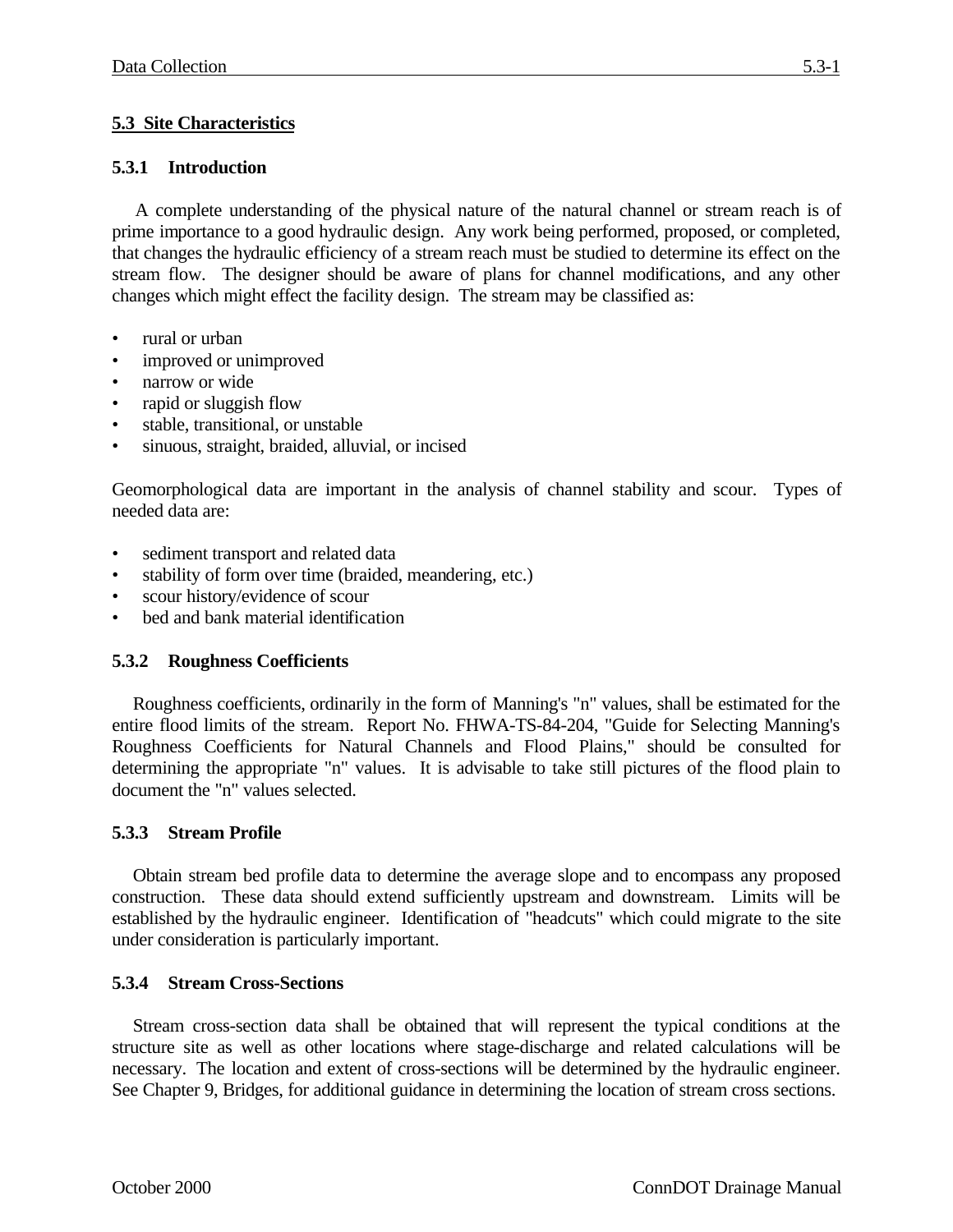# **5.3 Site Characteristics**

## **5.3.1 Introduction**

A complete understanding of the physical nature of the natural channel or stream reach is of prime importance to a good hydraulic design. Any work being performed, proposed, or completed, that changes the hydraulic efficiency of a stream reach must be studied to determine its effect on the stream flow. The designer should be aware of plans for channel modifications, and any other changes which might effect the facility design. The stream may be classified as:

- rural or urban
- improved or unimproved
- narrow or wide
- rapid or sluggish flow
- stable, transitional, or unstable
- sinuous, straight, braided, alluvial, or incised

Geomorphological data are important in the analysis of channel stability and scour. Types of needed data are:

- sediment transport and related data
- stability of form over time (braided, meandering, etc.)
- scour history/evidence of scour
- bed and bank material identification

## **5.3.2 Roughness Coefficients**

Roughness coefficients, ordinarily in the form of Manning's "n" values, shall be estimated for the entire flood limits of the stream. Report No. FHWA-TS-84-204, "Guide for Selecting Manning's Roughness Coefficients for Natural Channels and Flood Plains," should be consulted for determining the appropriate "n" values. It is advisable to take still pictures of the flood plain to document the "n" values selected.

## **5.3.3 Stream Profile**

Obtain stream bed profile data to determine the average slope and to encompass any proposed construction. These data should extend sufficiently upstream and downstream. Limits will be established by the hydraulic engineer. Identification of "headcuts" which could migrate to the site under consideration is particularly important.

#### **5.3.4 Stream Cross-Sections**

Stream cross-section data shall be obtained that will represent the typical conditions at the structure site as well as other locations where stage-discharge and related calculations will be necessary. The location and extent of cross-sections will be determined by the hydraulic engineer. See Chapter 9, Bridges, for additional guidance in determining the location of stream cross sections.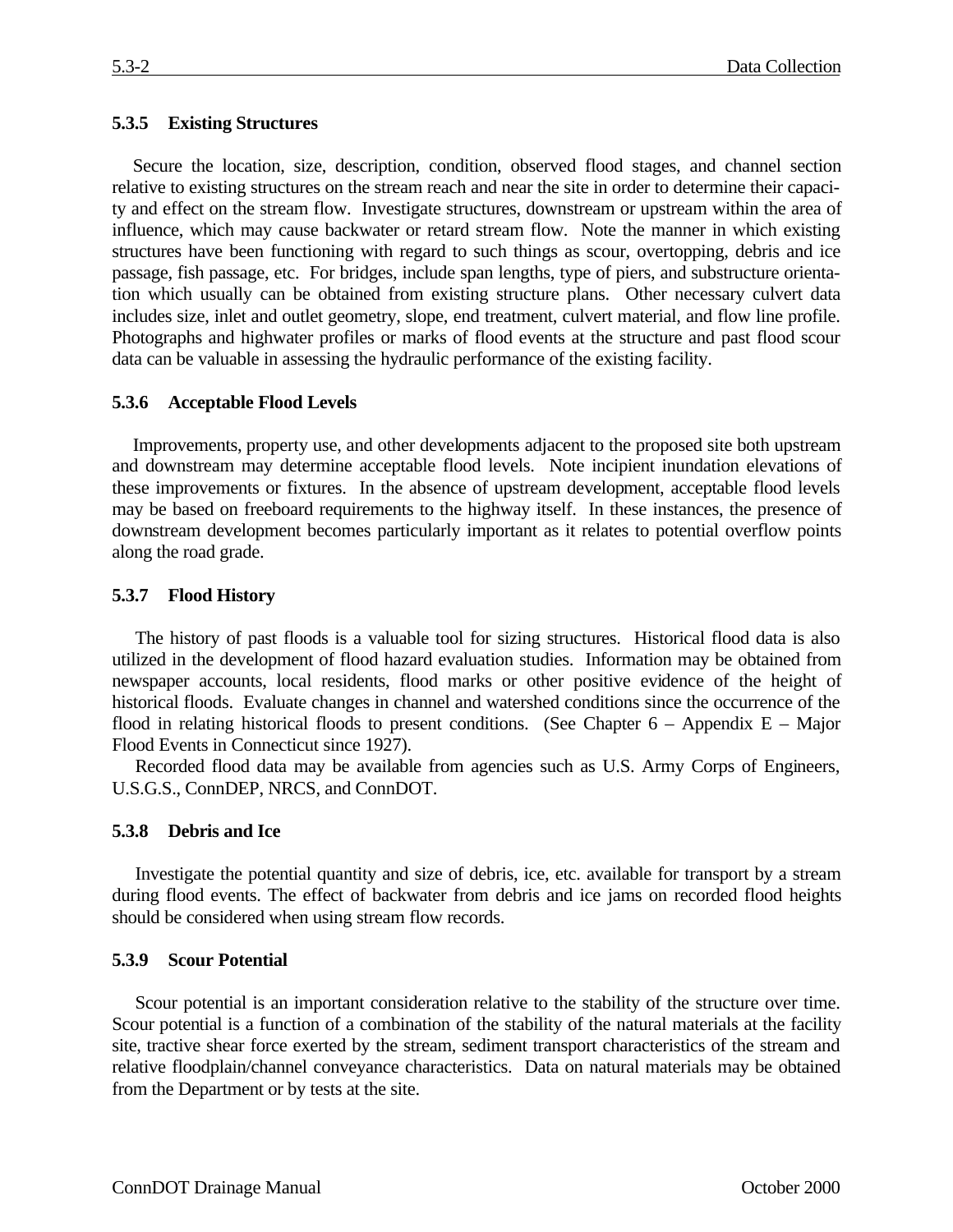### **5.3.5 Existing Structures**

Secure the location, size, description, condition, observed flood stages, and channel section relative to existing structures on the stream reach and near the site in order to determine their capacity and effect on the stream flow. Investigate structures, downstream or upstream within the area of influence, which may cause backwater or retard stream flow. Note the manner in which existing structures have been functioning with regard to such things as scour, overtopping, debris and ice passage, fish passage, etc. For bridges, include span lengths, type of piers, and substructure orientation which usually can be obtained from existing structure plans. Other necessary culvert data includes size, inlet and outlet geometry, slope, end treatment, culvert material, and flow line profile. Photographs and highwater profiles or marks of flood events at the structure and past flood scour data can be valuable in assessing the hydraulic performance of the existing facility.

#### **5.3.6 Acceptable Flood Levels**

Improvements, property use, and other developments adjacent to the proposed site both upstream and downstream may determine acceptable flood levels. Note incipient inundation elevations of these improvements or fixtures. In the absence of upstream development, acceptable flood levels may be based on freeboard requirements to the highway itself. In these instances, the presence of downstream development becomes particularly important as it relates to potential overflow points along the road grade.

#### **5.3.7 Flood History**

The history of past floods is a valuable tool for sizing structures. Historical flood data is also utilized in the development of flood hazard evaluation studies. Information may be obtained from newspaper accounts, local residents, flood marks or other positive evidence of the height of historical floods. Evaluate changes in channel and watershed conditions since the occurrence of the flood in relating historical floods to present conditions. (See Chapter  $6 -$  Appendix E – Major Flood Events in Connecticut since 1927).

Recorded flood data may be available from agencies such as U.S. Army Corps of Engineers, U.S.G.S., ConnDEP, NRCS, and ConnDOT.

#### **5.3.8 Debris and Ice**

Investigate the potential quantity and size of debris, ice, etc. available for transport by a stream during flood events. The effect of backwater from debris and ice jams on recorded flood heights should be considered when using stream flow records.

#### **5.3.9 Scour Potential**

Scour potential is an important consideration relative to the stability of the structure over time. Scour potential is a function of a combination of the stability of the natural materials at the facility site, tractive shear force exerted by the stream, sediment transport characteristics of the stream and relative floodplain/channel conveyance characteristics. Data on natural materials may be obtained from the Department or by tests at the site.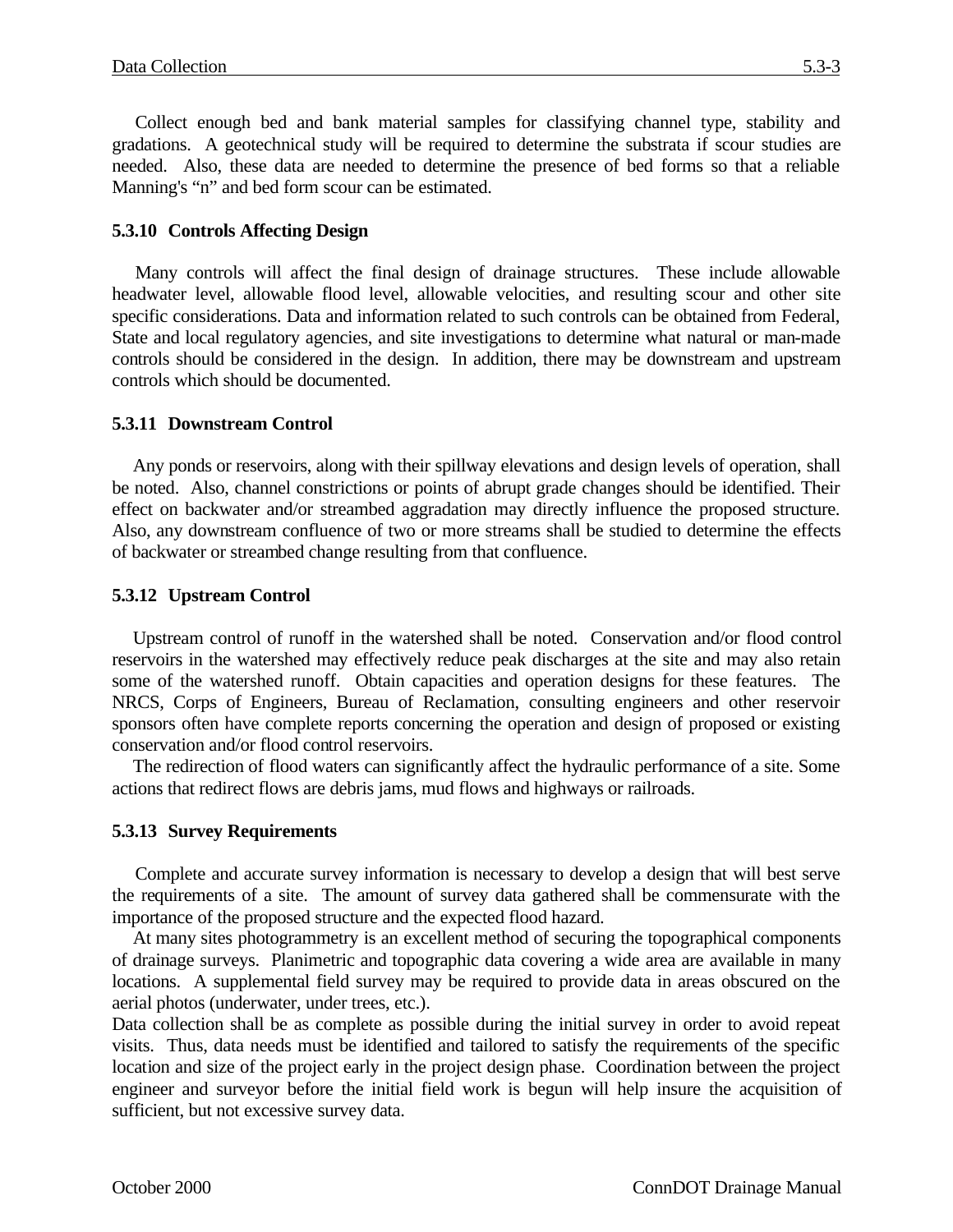Collect enough bed and bank material samples for classifying channel type, stability and gradations. A geotechnical study will be required to determine the substrata if scour studies are needed. Also, these data are needed to determine the presence of bed forms so that a reliable Manning's "n" and bed form scour can be estimated.

#### **5.3.10 Controls Affecting Design**

Many controls will affect the final design of drainage structures. These include allowable headwater level, allowable flood level, allowable velocities, and resulting scour and other site specific considerations. Data and information related to such controls can be obtained from Federal, State and local regulatory agencies, and site investigations to determine what natural or man-made controls should be considered in the design. In addition, there may be downstream and upstream controls which should be documented.

### **5.3.11 Downstream Control**

Any ponds or reservoirs, along with their spillway elevations and design levels of operation, shall be noted. Also, channel constrictions or points of abrupt grade changes should be identified. Their effect on backwater and/or streambed aggradation may directly influence the proposed structure. Also, any downstream confluence of two or more streams shall be studied to determine the effects of backwater or streambed change resulting from that confluence.

### **5.3.12 Upstream Control**

Upstream control of runoff in the watershed shall be noted. Conservation and/or flood control reservoirs in the watershed may effectively reduce peak discharges at the site and may also retain some of the watershed runoff. Obtain capacities and operation designs for these features. The NRCS, Corps of Engineers, Bureau of Reclamation, consulting engineers and other reservoir sponsors often have complete reports concerning the operation and design of proposed or existing conservation and/or flood control reservoirs.

The redirection of flood waters can significantly affect the hydraulic performance of a site. Some actions that redirect flows are debris jams, mud flows and highways or railroads.

#### **5.3.13 Survey Requirements**

Complete and accurate survey information is necessary to develop a design that will best serve the requirements of a site. The amount of survey data gathered shall be commensurate with the importance of the proposed structure and the expected flood hazard.

At many sites photogrammetry is an excellent method of securing the topographical components of drainage surveys. Planimetric and topographic data covering a wide area are available in many locations. A supplemental field survey may be required to provide data in areas obscured on the aerial photos (underwater, under trees, etc.).

Data collection shall be as complete as possible during the initial survey in order to avoid repeat visits. Thus, data needs must be identified and tailored to satisfy the requirements of the specific location and size of the project early in the project design phase. Coordination between the project engineer and surveyor before the initial field work is begun will help insure the acquisition of sufficient, but not excessive survey data.